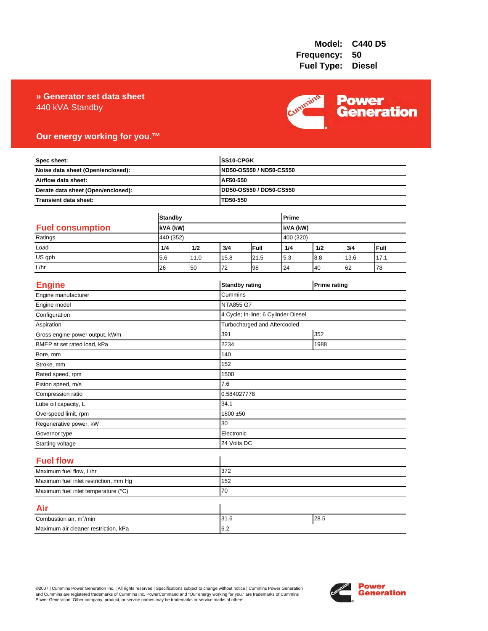### 440 kVA Standby **» Generator set data sheet**



### **Our energy working for you.™**

| Spec sheet:<br>Noise data sheet (Open/enclosed):<br>Airflow data sheet:<br>Derate data sheet (Open/enclosed): |                |      |                       | SS10-CPGK<br>ND50-OS550 / ND50-CS550 |     |                     |      |      |  |
|---------------------------------------------------------------------------------------------------------------|----------------|------|-----------------------|--------------------------------------|-----|---------------------|------|------|--|
|                                                                                                               |                |      |                       |                                      |     |                     |      |      |  |
|                                                                                                               |                |      | AF50-550              |                                      |     |                     |      |      |  |
|                                                                                                               |                |      |                       | DD50-OS550 / DD50-CS550<br>TD50-550  |     |                     |      |      |  |
| Transient data sheet:                                                                                         |                |      |                       |                                      |     |                     |      |      |  |
|                                                                                                               |                |      |                       |                                      |     |                     |      |      |  |
|                                                                                                               | <b>Standby</b> |      |                       | Prime                                |     |                     |      |      |  |
| <b>Fuel consumption</b>                                                                                       | kVA (kW)       |      |                       |                                      |     | kVA (kW)            |      |      |  |
| Ratings                                                                                                       | 440 (352)      |      |                       |                                      |     | 400 (320)           |      |      |  |
| Load                                                                                                          | 1/4            | 1/2  | 3/4                   | Full                                 | 1/4 | 1/2                 | 3/4  | Full |  |
| US gph                                                                                                        | 5.6            | 11.0 | 15.8                  | 21.5                                 | 5.3 | 8.8                 | 13.6 | 17.1 |  |
| L/hr                                                                                                          | 26             | 50   | 72                    | 98                                   | 24  | 40                  | 62   | 78   |  |
| <b>Engine</b>                                                                                                 |                |      | <b>Standby rating</b> |                                      |     | <b>Prime rating</b> |      |      |  |
| Engine manufacturer                                                                                           |                |      | Cummins               |                                      |     |                     |      |      |  |
| Engine model                                                                                                  |                |      | <b>NTA855 G7</b>      |                                      |     |                     |      |      |  |
| Configuration                                                                                                 |                |      |                       | 4 Cycle; In-line; 6 Cylinder Diesel  |     |                     |      |      |  |
| Aspiration                                                                                                    |                |      |                       | Turbocharged and Aftercooled         |     |                     |      |      |  |
| Gross engine power output, kWm                                                                                |                |      | 391                   | 352                                  |     |                     |      |      |  |
| BMEP at set rated load, kPa                                                                                   |                |      | 2234                  | 1988                                 |     |                     |      |      |  |
| Bore, mm                                                                                                      |                |      | 140                   |                                      |     |                     |      |      |  |
| Stroke, mm                                                                                                    |                |      | 152                   |                                      |     |                     |      |      |  |
| Rated speed, rpm                                                                                              |                |      | 1500                  |                                      |     |                     |      |      |  |
| Piston speed, m/s                                                                                             |                |      | 7.6                   |                                      |     |                     |      |      |  |
| Compression ratio                                                                                             |                |      |                       | 0.584027778                          |     |                     |      |      |  |
| Lube oil capacity, L                                                                                          |                |      | 34.1                  |                                      |     |                     |      |      |  |
| Overspeed limit, rpm                                                                                          |                |      |                       | 1800 ±50                             |     |                     |      |      |  |
| Regenerative power, kW                                                                                        |                |      | 30                    |                                      |     |                     |      |      |  |
| Governor type                                                                                                 |                |      |                       | Electronic                           |     |                     |      |      |  |
| Starting voltage                                                                                              |                |      | 24 Volts DC           |                                      |     |                     |      |      |  |
| <b>Fuel flow</b>                                                                                              |                |      |                       |                                      |     |                     |      |      |  |
| Maximum fuel flow, L/hr                                                                                       |                |      | 372                   |                                      |     |                     |      |      |  |
| Maximum fuel inlet restriction, mm Hg                                                                         |                |      | 152                   |                                      |     |                     |      |      |  |
| Maximum fuel inlet temperature (°C)                                                                           |                | 70   |                       |                                      |     |                     |      |      |  |
| Air                                                                                                           |                |      |                       |                                      |     |                     |      |      |  |
| Combustion air, m <sup>3</sup> /min                                                                           |                |      | 31.6                  |                                      |     | 28.5                |      |      |  |
| Maximum air cleaner restriction, kPa                                                                          |                |      | 6.2                   |                                      |     |                     |      |      |  |

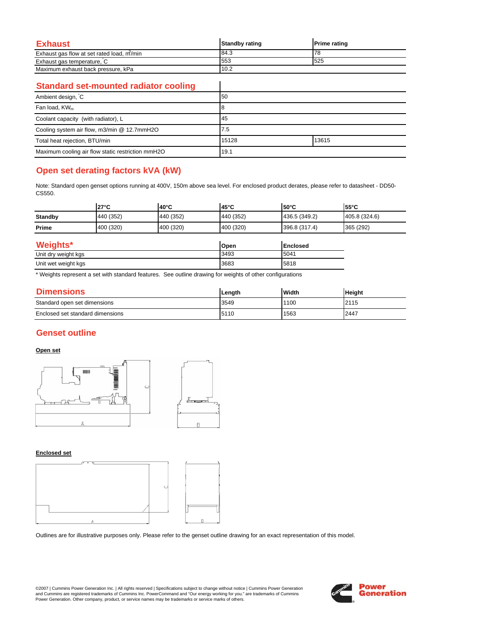| Exhaust                                   | <b>Standby rating</b> | <b>Prime rating</b> |
|-------------------------------------------|-----------------------|---------------------|
| Exhaust gas flow at set rated load, m/min | 184.3                 |                     |
| Exhaust gas temperature, C                | 553                   | 525                 |
| Maximum exhaust back pressure, kPa        | 10.2                  |                     |

 $\overline{\phantom{a}}$ 

### **Standard set-mounted radiator cooling**

| Ambient design, C                                 | 50             |  |  |
|---------------------------------------------------|----------------|--|--|
| Fan load, KW <sub>m</sub>                         |                |  |  |
| Coolant capacity (with radiator), L               | 45             |  |  |
| Cooling system air flow, m3/min @ 12.7mmH2O       | 7.5            |  |  |
| Total heat rejection, BTU/min                     | 13615<br>15128 |  |  |
| Maximum cooling air flow static restriction mmH2O | 19.1           |  |  |

# **Open set derating factors kVA (kW)**

Note: Standard open genset options running at 400V, 150m above sea level. For enclosed product derates, please refer to datasheet - DD50- CS550.

|                     | $27^\circ C$ | 40°C      | 45°C      | $50^{\circ}$ C  | 55°C          |
|---------------------|--------------|-----------|-----------|-----------------|---------------|
| <b>Standby</b>      | 440 (352)    | 440 (352) | 440 (352) | 436.5 (349.2)   | 405.8 (324.6) |
| Prime               | 400 (320)    | 400 (320) | 400 (320) | 396.8 (317.4)   | 365 (292)     |
| Weights*            |              |           | Open      | <b>Enclosed</b> |               |
| Unit dry weight kgs |              |           | 3493      | 5041            |               |

| $5.001$ and $1.0001$ and $1.000$ | .     | .  |
|----------------------------------|-------|----|
| Unit wet<br>kas<br>weinht<br>÷   | .3683 | אה |
|                                  |       |    |

\* Weights represent a set with standard features. See outline drawing for weights of other configurations

| <b>Dimensions</b>                | Lenath | <b>Width</b> | <b>Height</b> |
|----------------------------------|--------|--------------|---------------|
| Standard open set dimensions     | 3549   | 1100         | 2115          |
| Enclosed set standard dimensions | 5110   | 1563         | 2447          |

## **Genset outline**

### **Open set**



#### **Enclosed set**



Outlines are for illustrative purposes only. Please refer to the genset outline drawing for an exact representation of this model.

©2007 | Cummins Power Generation Inc. | All rights reserved | Specifications subject to change without notice | Cummins Power Generation and Cummins are registered trademarks of Cummins Inc. PowerCommand and "Our energy working for you." are trademarks of Cummins<br>Power Generation. Other company, product, or service names may be trademarks or service marks o